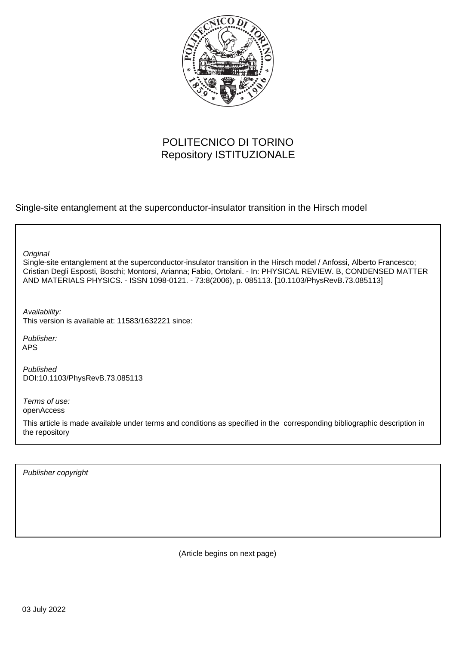

# POLITECNICO DI TORINO Repository ISTITUZIONALE

Single-site entanglement at the superconductor-insulator transition in the Hirsch model

**Original** 

Single-site entanglement at the superconductor-insulator transition in the Hirsch model / Anfossi, Alberto Francesco; Cristian Degli Esposti, Boschi; Montorsi, Arianna; Fabio, Ortolani. - In: PHYSICAL REVIEW. B, CONDENSED MATTER AND MATERIALS PHYSICS. - ISSN 1098-0121. - 73:8(2006), p. 085113. [10.1103/PhysRevB.73.085113]

Availability: This version is available at: 11583/1632221 since:

Publisher: APS

Published DOI:10.1103/PhysRevB.73.085113

Terms of use: openAccess

This article is made available under terms and conditions as specified in the corresponding bibliographic description in the repository

Publisher copyright

(Article begins on next page)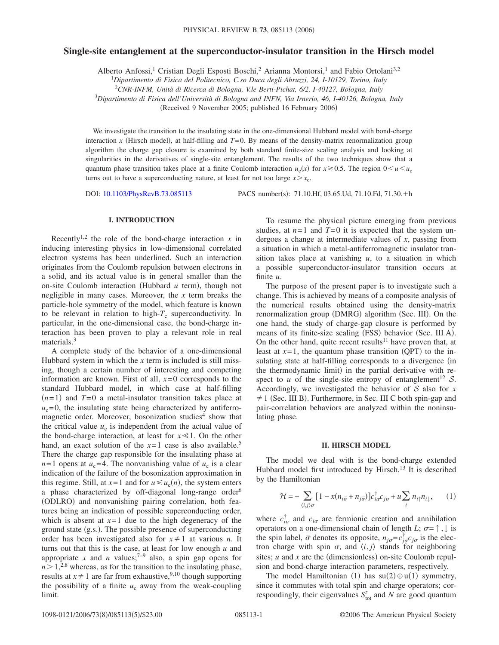# **Single-site entanglement at the superconductor-insulator transition in the Hirsch model**

Alberto Anfossi,<sup>1</sup> Cristian Degli Esposti Boschi,<sup>2</sup> Arianna Montorsi,<sup>1</sup> and Fabio Ortolani<sup>3,2</sup>

1 *Dipartimento di Fisica del Politecnico, C.so Duca degli Abruzzi, 24, I-10129, Torino, Italy*

<sup>2</sup>*CNR-INFM, Unità di Ricerca di Bologna, V.le Berti-Pichat, 6/2, I-40127, Bologna, Italy*

3 *Dipartimento di Fisica dell'Università di Bologna and INFN, Via Irnerio, 46, I-40126, Bologna, Italy*

(Received 9 November 2005; published 16 February 2006)

We investigate the transition to the insulating state in the one-dimensional Hubbard model with bond-charge interaction x (Hirsch model), at half-filling and  $T=0$ . By means of the density-matrix renormalization group algorithm the charge gap closure is examined by both standard finite-size scaling analysis and looking at singularities in the derivatives of single-site entanglement. The results of the two techniques show that a quantum phase transition takes place at a finite Coulomb interaction  $u_c(x)$  for  $x \ge 0.5$ . The region  $0 \le u \le u_c$ turns out to have a superconducting nature, at least for not too large  $x > x_c$ .

DOI: [10.1103/PhysRevB.73.085113](http://dx.doi.org/10.1103/PhysRevB.73.085113)

PACS number(s): 71.10.Hf, 03.65.Ud, 71.10.Fd, 71.30.+h

### **I. INTRODUCTION**

Recently<sup>1,2</sup> the role of the bond-charge interaction  $x$  in inducing interesting physics in low-dimensional correlated electron systems has been underlined. Such an interaction originates from the Coulomb repulsion between electrons in a solid, and its actual value is in general smaller than the on-site Coulomb interaction (Hubbard *u* term), though not negligible in many cases. Moreover, the *x* term breaks the particle-hole symmetry of the model, which feature is known to be relevant in relation to high- $T_c$  superconductivity. In particular, in the one-dimensional case, the bond-charge interaction has been proven to play a relevant role in real materials.<sup>3</sup>

A complete study of the behavior of a one-dimensional Hubbard system in which the *x* term is included is still missing, though a certain number of interesting and competing information are known. First of all,  $x=0$  corresponds to the standard Hubbard model, in which case at half-filling  $(n=1)$  and  $T=0$  a metal-insulator transition takes place at  $u_c$ =0, the insulating state being characterized by antiferromagnetic order. Moreover, bosonization studies<sup>4</sup> show that the critical value  $u_c$  is independent from the actual value of the bond-charge interaction, at least for  $x \ll 1$ . On the other hand, an exact solution of the  $x=1$  case is also available.<sup>5</sup> There the charge gap responsible for the insulating phase at  $n=1$  opens at  $u_c=4$ . The nonvanishing value of  $u_c$  is a clear indication of the failure of the bosonization approximation in this regime. Still, at  $x=1$  and for  $u \le u_c(n)$ , the system enters a phase characterized by off-diagonal long-range order<sup>6</sup> (ODLRO) and nonvanishing pairing correlation, both features being an indication of possible superconducting order, which is absent at  $x=1$  due to the high degeneracy of the ground state (g.s.). The possible presence of superconducting order has been investigated also for  $x \neq 1$  at various *n*. It turns out that this is the case, at least for low enough *u* and appropriate *x* and *n* values;<sup> $7-9$ </sup> also, a spin gap opens for  $n > 1,^{2,8}$  whereas, as for the transition to the insulating phase, results at  $x \neq 1$  are far from exhaustive,<sup>9,10</sup> though supporting the possibility of a finite  $u_c$  away from the weak-coupling limit.

To resume the physical picture emerging from previous studies, at  $n=1$  and  $T=0$  it is expected that the system undergoes a change at intermediate values of *x*, passing from a situation in which a metal-antiferromagnetic insulator transition takes place at vanishing *u*, to a situation in which a possible superconductor-insulator transition occurs at finite *u*.

The purpose of the present paper is to investigate such a change. This is achieved by means of a composite analysis of the numerical results obtained using the density-matrix renormalization group (DMRG) algorithm (Sec. III). On the one hand, the study of charge-gap closure is performed by means of its finite-size scaling (FSS) behavior (Sec. III A). On the other hand, quite recent results<sup>11</sup> have proven that, at least at  $x=1$ , the quantum phase transition (QPT) to the insulating state at half-filling corresponds to a divergence (in the thermodynamic limit) in the partial derivative with respect to *u* of the single-site entropy of entanglement<sup>12</sup> S. Accordingly, we investigated the behavior of  $S$  also for  $x$  $\neq$  1 (Sec. III B). Furthermore, in Sec. III C both spin-gap and pair-correlation behaviors are analyzed within the noninsulating phase.

## **II. HIRSCH MODEL**

The model we deal with is the bond-charge extended Hubbard model first introduced by Hirsch.<sup>13</sup> It is described by the Hamiltonian

$$
\mathcal{H} = -\sum_{\langle i,j\rangle\sigma} \left[1 - x(n_{i\bar{\sigma}} + n_{j\bar{\sigma}})\right] c_{i\sigma}^{\dagger} c_{j\sigma} + u \sum_{i} n_{i\uparrow} n_{i\downarrow}, \qquad (1)
$$

where  $c_{i\sigma}^{\dagger}$  and  $c_{i\sigma}$  are fermionic creation and annihilation operators on a one-dimensional chain of length *L*;  $\sigma = \uparrow$ ,  $\downarrow$  is the spin label,  $\bar{\sigma}$  denotes its opposite,  $n_{j\sigma} = c_{j\sigma}^{\dagger}c_{j\sigma}$  is the electron charge with spin  $\sigma$ , and  $\langle i, j \rangle$  stands for neighboring sites;  $u$  and  $x$  are the (dimensionless) on-site Coulomb repulsion and bond-charge interaction parameters, respectively.

The model Hamiltonian (1) has  $su(2) \oplus u(1)$  symmetry, since it commutes with total spin and charge operators; correspondingly, their eigenvalues  $S_{\text{tot}}^z$  and *N* are good quantum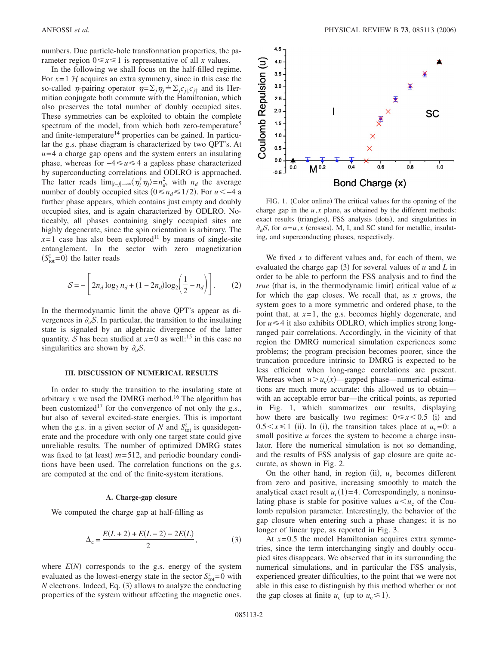numbers. Due particle-hole transformation properties, the parameter region  $0 \le x \le 1$  is representative of all *x* values.

In the following we shall focus on the half-filled regime. For  $x=1$  H acquires an extra symmetry, since in this case the so-called  $\eta$ -pairing operator  $\eta = \sum_j \eta_j = \sum_j c_{j\downarrow} c_{j\uparrow}$  and its Hermitian conjugate both commute with the Hamiltonian, which also preserves the total number of doubly occupied sites. These symmetries can be exploited to obtain the complete spectrum of the model, from which both zero-temperature<sup>5</sup> and finite-temperature<sup>14</sup> properties can be gained. In particular the g.s. phase diagram is characterized by two QPT's. At  $u=4$  a charge gap opens and the system enters an insulating phase, whereas for  $-4 \le u \le 4$  a gapless phase characterized by superconducting correlations and ODLRO is approached. The latter reads  $\lim_{|i-j| \to \infty} \langle \eta_i^{\dagger} \eta_j \rangle = n_d^2$ , with  $n_d$  the average number of doubly occupied sites  $(0 \le n_d \le 1/2)$ . For *u* < -4 a further phase appears, which contains just empty and doubly occupied sites, and is again characterized by ODLRO. Noticeably, all phases containing singly occupied sites are highly degenerate, since the spin orientation is arbitrary. The  $x=1$  case has also been explored<sup>11</sup> by means of single-site entanglement. In the sector with zero magnetization  $(S<sub>tot</sub><sup>z</sup>=0)$  the latter reads

$$
S = -\left[2n_d \log_2 n_d + (1 - 2n_d) \log_2 \left(\frac{1}{2} - n_d\right)\right].
$$
 (2)

In the thermodynamic limit the above QPT's appear as divergences in  $\partial_{\mu}S$ . In particular, the transition to the insulating state is signaled by an algebraic divergence of the latter quantity. *S* has been studied at  $x=0$  as well:<sup>15</sup> in this case no singularities are shown by  $\partial_u S$ .

## **III. DISCUSSION OF NUMERICAL RESULTS**

In order to study the transition to the insulating state at arbitrary  $x$  we used the DMRG method.<sup>16</sup> The algorithm has been customized<sup>17</sup> for the convergence of not only the g.s., but also of several excited-state energies. This is important when the g.s. in a given sector of *N* and  $S_{\text{tot}}^z$  is quasidegenerate and the procedure with only one target state could give unreliable results. The number of optimized DMRG states was fixed to (at least)  $m = 512$ , and periodic boundary conditions have been used. The correlation functions on the g.s. are computed at the end of the finite-system iterations.

#### **A. Charge-gap closure**

We computed the charge gap at half-filling as

$$
\Delta_{\rm c} = \frac{E(L+2) + E(L-2) - 2E(L)}{2},\tag{3}
$$

where  $E(N)$  corresponds to the g.s. energy of the system evaluated as the lowest-energy state in the sector  $S_{\text{tot}}^z = 0$  with *N* electrons. Indeed, Eq. (3) allows to analyze the conducting properties of the system without affecting the magnetic ones.



FIG. 1. (Color online) The critical values for the opening of the charge gap in the  $u$ , $x$  plane, as obtained by the different methods: exact results (triangles), FSS analysis (dots), and singularities in  $\partial_{\alpha}S$ , for  $\alpha = u, x$  (crosses). M, I, and SC stand for metallic, insulating, and superconducting phases, respectively.

We fixed x to different values and, for each of them, we evaluated the charge gap  $(3)$  for several values of  $u$  and  $L$  in order to be able to perform the FSS analysis and to find the *true* (that is, in the thermodynamic limit) critical value of *u* for which the gap closes. We recall that, as *x* grows, the system goes to a more symmetric and ordered phase, to the point that, at *x*= 1, the g.s. becomes highly degenerate, and for  $u \leq 4$  it also exhibits ODLRO, which implies strong longranged pair correlations. Accordingly, in the vicinity of that region the DMRG numerical simulation experiences some problems; the program precision becomes poorer, since the truncation procedure intrinsic to DMRG is expected to be less efficient when long-range correlations are present. Whereas when  $u > u_c(x)$ —gapped phase—numerical estimations are much more accurate: this allowed us to obtain with an acceptable error bar—the critical points, as reported in Fig. 1, which summarizes our results, displaying how there are basically two regimes:  $0 \le x \le 0.5$  (i) and  $0.5 \le x \le 1$  (ii). In (i), the transition takes place at  $u_c = 0$ : a small positive *u* forces the system to become a charge insulator. Here the numerical simulation is not so demanding, and the results of FSS analysis of gap closure are quite accurate, as shown in Fig. 2.

On the other hand, in region (ii),  $u_c$  becomes different from zero and positive, increasing smoothly to match the analytical exact result  $u_c(1) = 4$ . Correspondingly, a noninsulating phase is stable for positive values  $u < u_c$  of the Coulomb repulsion parameter. Interestingly, the behavior of the gap closure when entering such a phase changes; it is no longer of linear type, as reported in Fig. 3.

At  $x=0.5$  the model Hamiltonian acquires extra symmetries, since the term interchanging singly and doubly occupied sites disappears. We observed that in its surrounding the numerical simulations, and in particular the FSS analysis, experienced greater difficulties, to the point that we were not able in this case to distinguish by this method whether or not the gap closes at finite  $u_c$  (up to  $u_c \leq 1$ ).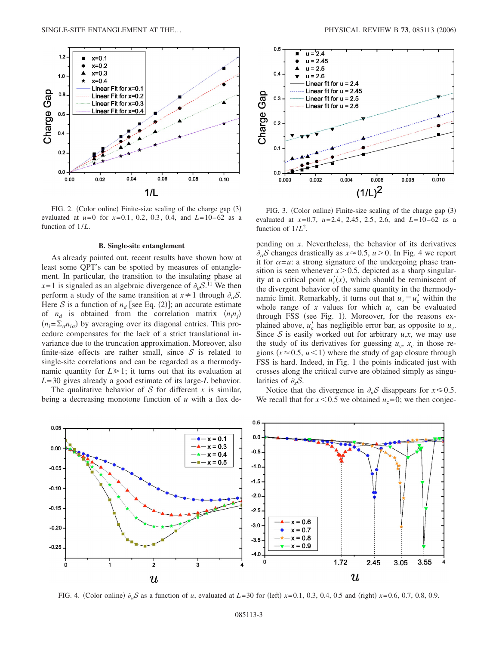

FIG. 2. (Color online) Finite-size scaling of the charge gap (3) evaluated at  $u=0$  for  $x=0.1$ , 0.2, 0.3, 0.4, and  $L=10-62$  as a function of 1/*L*.

## **B. Single-site entanglement**

As already pointed out, recent results have shown how at least some QPT's can be spotted by measures of entanglement. In particular, the transition to the insulating phase at  $x=1$  is signaled as an algebraic divergence of  $\partial_u S^{11}$ . We then perform a study of the same transition at  $x \neq 1$  through  $\partial_{\alpha} S$ . Here S is a function of  $n_d$  [see Eq. (2)]; an accurate estimate of  $n_d$  is obtained from the correlation matrix  $\langle n_i n_j \rangle$  $(n_i = \sum_{\sigma} n_{i\sigma})$  by averaging over its diagonal entries. This procedure compensates for the lack of a strict translational invariance due to the truncation approximation. Moreover, also finite-size effects are rather small, since  $S$  is related to single-site correlations and can be regarded as a thermodynamic quantity for  $L \ge 1$ ; it turns out that its evaluation at *L*= 30 gives already a good estimate of its large-*L* behavior.

The qualitative behavior of  $S$  for different  $x$  is similar, being a decreasing monotone function of *u* with a flex de-



FIG. 3. (Color online) Finite-size scaling of the charge gap (3) evaluated at *x*= 0.7, *u*= 2.4, 2.45, 2.5, 2.6, and *L*= 10– 62 as a function of 1/*L*2.

pending on *x*. Nevertheless, the behavior of its derivatives  $\partial_{\alpha} S$  changes drastically as  $x \approx 0.5$ ,  $u > 0$ . In Fig. 4 we report it for  $\alpha = u$ : a strong signature of the undergoing phase transition is seen whenever  $x > 0.5$ , depicted as a sharp singularity at a critical point  $u'_c(x)$ , which should be reminiscent of the divergent behavior of the same quantity in the thermodynamic limit. Remarkably, it turns out that  $u_c \equiv u'_c$  within the whole range of  $x$  values for which  $u_c$  can be evaluated through FSS (see Fig. 1). Moreover, for the reasons explained above,  $u'_c$  has negligible error bar, as opposite to  $u_c$ . Since  $S$  is easily worked out for arbitrary  $u, x$ , we may use the study of its derivatives for guessing  $u_c$ ,  $x_c$  in those regions  $(x \approx 0.5, u \le 1)$  where the study of gap closure through FSS is hard. Indeed, in Fig. 1 the points indicated just with crosses along the critical curve are obtained simply as singularities of  $\partial_x S$ .

Notice that the divergence in  $\partial_u S$  disappears for  $x \le 0.5$ . We recall that for  $x < 0.5$  we obtained  $u_c = 0$ ; we then conjec-



FIG. 4. (Color online)  $\partial_u S$  as a function of *u*, evaluated at *L*=30 for (left) *x*=0.1, 0.3, 0.4, 0.5 and (right) *x*=0.6, 0.7, 0.8, 0.9.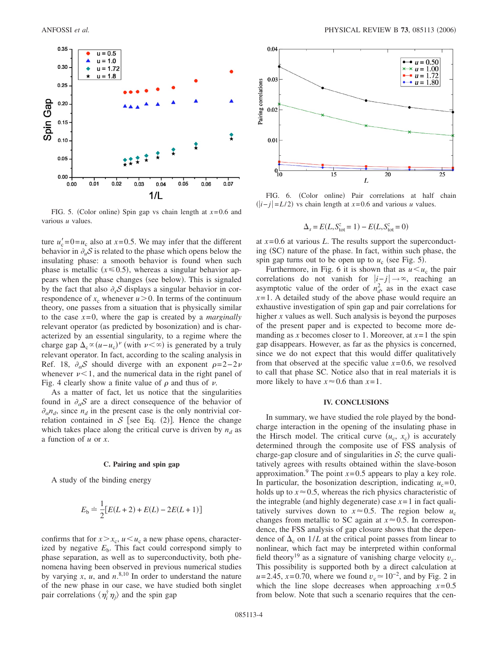

FIG. 5. (Color online) Spin gap vs chain length at  $x=0.6$  and various *u* values.

ture  $u'_{c} = 0 = u_{c}$  also at  $x = 0.5$ . We may infer that the different behavior in  $\partial_u S$  is related to the phase which opens below the insulating phase: a smooth behavior is found when such phase is metallic  $(x \le 0.5)$ , whereas a singular behavior appears when the phase changes (see below). This is signaled by the fact that also  $\partial_x S$  displays a singular behavior in correspondence of  $x_c$  whenever  $u > 0$ . In terms of the continuum theory, one passes from a situation that is physically similar to the case  $x=0$ , where the gap is created by a *marginally* relevant operator (as predicted by bosonization) and is characterized by an essential singularity, to a regime where the charge gap  $\Delta_c \propto (u - u_c)^{\nu}$  (with  $\nu < \infty$ ) is generated by a truly relevant operator. In fact, according to the scaling analysis in Ref. 18,  $\partial_{\alpha} S$  should diverge with an exponent  $\rho = 2 - 2\nu$ whenever  $\nu < 1$ , and the numerical data in the right panel of Fig. 4 clearly show a finite value of  $\rho$  and thus of  $\nu$ .

As a matter of fact, let us notice that the singularities found in  $\partial_{\alpha} S$  are a direct consequence of the behavior of  $\partial_{\alpha} n_d$ , since  $n_d$  in the present case is the only nontrivial correlation contained in  $S$  [see Eq. (2)]. Hence the change which takes place along the critical curve is driven by  $n_d$  as a function of *u* or *x*.

#### **C. Pairing and spin gap**

A study of the binding energy

$$
E_{\rm b} \doteq \frac{1}{2} [E(L+2) + E(L) - 2E(L+1)]
$$

confirms that for  $x > x_c$ ,  $u < u_c$  a new phase opens, characterized by negative  $E<sub>b</sub>$ . This fact could correspond simply to phase separation, as well as to superconductivity, both phenomena having been observed in previous numerical studies by varying  $x$ ,  $u$ , and  $n^{8,10}$  In order to understand the nature of the new phase in our case, we have studied both singlet pair correlations  $\langle \eta_i^{\dagger} \eta_j \rangle$  and the spin gap



FIG. 6. (Color online) Pair correlations at half chain  $(|i-j| = L/2)$  vs chain length at *x*=0.6 and various *u* values.

$$
\Delta_s = E(L, S_{\text{tot}}^z = 1) - E(L, S_{\text{tot}}^z = 0)
$$

at  $x=0.6$  at various  $L$ . The results support the superconducting (SC) nature of the phase. In fact, within such phase, the spin gap turns out to be open up to  $u_c$  (see Fig. 5).

Furthermore, in Fig. 6 it is shown that as  $u \lt u_c$  the pair correlations do not vanish for  $|i-j| \rightarrow \infty$ , reaching an asymptotic value of the order of  $n_d^2$ , as in the exact case  $x=1$ . A detailed study of the above phase would require an exhaustive investigation of spin gap and pair correlations for higher *x* values as well. Such analysis is beyond the purposes of the present paper and is expected to become more demanding as *x* becomes closer to 1. Moreover, at  $x=1$  the spin gap disappears. However, as far as the physics is concerned, since we do not expect that this would differ qualitatively from that observed at the specific value  $x=0.6$ , we resolved to call that phase SC. Notice also that in real materials it is more likely to have  $x \approx 0.6$  than  $x = 1$ .

## **IV. CONCLUSIONS**

In summary, we have studied the role played by the bondcharge interaction in the opening of the insulating phase in the Hirsch model. The critical curve  $(u_c, x_c)$  is accurately determined through the composite use of FSS analysis of charge-gap closure and of singularities in  $S$ ; the curve qualitatively agrees with results obtained within the slave-boson approximation.<sup>9</sup> The point  $x=0.5$  appears to play a key role. In particular, the bosonization description, indicating  $u_c=0$ , holds up to  $x \approx 0.5$ , whereas the rich physics characteristic of the integrable (and highly degenerate) case  $x = 1$  in fact qualitatively survives down to  $x \approx 0.5$ . The region below  $u_c$ changes from metallic to SC again at  $x \approx 0.5$ . In correspondence, the FSS analysis of gap closure shows that the dependence of  $\Delta_c$  on  $1/L$  at the critical point passes from linear to nonlinear, which fact may be interpreted within conformal field theory<sup>19</sup> as a signature of vanishing charge velocity  $v_c$ . This possibility is supported both by a direct calculation at *u*= 2.45, *x*= 0.70, where we found  $v_c \approx 10^{-2}$ , and by Fig. 2 in which the line slope decreases when approaching  $x=0.5$ from below. Note that such a scenario requires that the cen